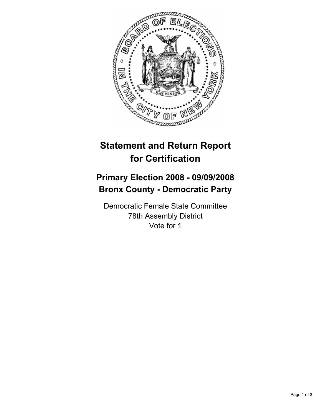

## **Statement and Return Report for Certification**

## **Primary Election 2008 - 09/09/2008 Bronx County - Democratic Party**

Democratic Female State Committee 78th Assembly District Vote for 1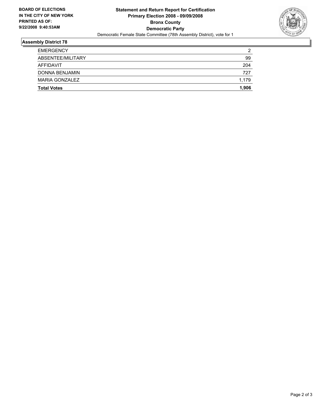

## **Assembly District 78**

| <b>EMERGENCY</b>      | າ     |
|-----------------------|-------|
| ABSENTEE/MILITARY     | 99    |
| AFFIDAVIT             | 204   |
| DONNA BENJAMIN        | 727   |
| <b>MARIA GONZALEZ</b> | 1,179 |
| <b>Total Votes</b>    | 1,906 |